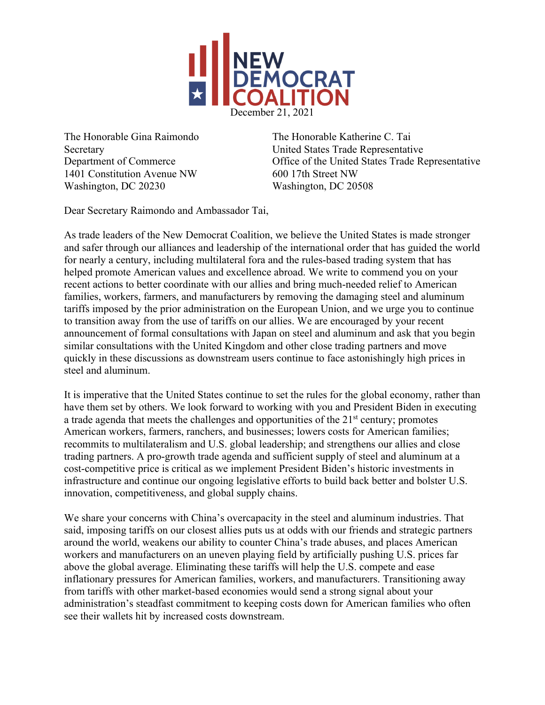

The Honorable Gina Raimondo The Honorable Katherine C. Tai 1401 Constitution Avenue NW 600 17th Street NW Washington, DC 20230 Washington, DC 20508

Secretary United States Trade Representative Department of Commerce Office of the United States Trade Representative

Dear Secretary Raimondo and Ambassador Tai,

As trade leaders of the New Democrat Coalition, we believe the United States is made stronger and safer through our alliances and leadership of the international order that has guided the world for nearly a century, including multilateral fora and the rules-based trading system that has helped promote American values and excellence abroad. We write to commend you on your recent actions to better coordinate with our allies and bring much-needed relief to American families, workers, farmers, and manufacturers by removing the damaging steel and aluminum tariffs imposed by the prior administration on the European Union, and we urge you to continue to transition away from the use of tariffs on our allies. We are encouraged by your recent announcement of formal consultations with Japan on steel and aluminum and ask that you begin similar consultations with the United Kingdom and other close trading partners and move quickly in these discussions as downstream users continue to face astonishingly high prices in steel and aluminum.

It is imperative that the United States continue to set the rules for the global economy, rather than have them set by others. We look forward to working with you and President Biden in executing a trade agenda that meets the challenges and opportunities of the  $21<sup>st</sup>$  century; promotes American workers, farmers, ranchers, and businesses; lowers costs for American families; recommits to multilateralism and U.S. global leadership; and strengthens our allies and close trading partners. A pro-growth trade agenda and sufficient supply of steel and aluminum at a cost-competitive price is critical as we implement President Biden's historic investments in infrastructure and continue our ongoing legislative efforts to build back better and bolster U.S. innovation, competitiveness, and global supply chains.

We share your concerns with China's overcapacity in the steel and aluminum industries. That said, imposing tariffs on our closest allies puts us at odds with our friends and strategic partners around the world, weakens our ability to counter China's trade abuses, and places American workers and manufacturers on an uneven playing field by artificially pushing U.S. prices far above the global average. Eliminating these tariffs will help the U.S. compete and ease inflationary pressures for American families, workers, and manufacturers. Transitioning away from tariffs with other market-based economies would send a strong signal about your administration's steadfast commitment to keeping costs down for American families who often see their wallets hit by increased costs downstream.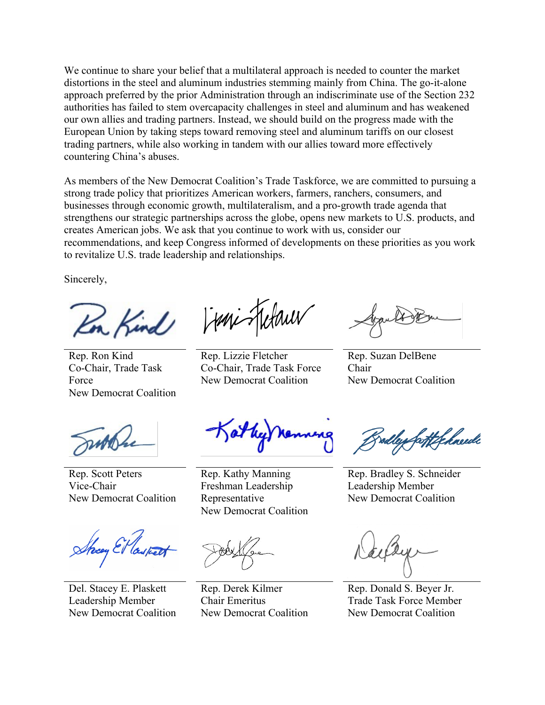We continue to share your belief that a multilateral approach is needed to counter the market distortions in the steel and aluminum industries stemming mainly from China. The go-it-alone approach preferred by the prior Administration through an indiscriminate use of the Section 232 authorities has failed to stem overcapacity challenges in steel and aluminum and has weakened our own allies and trading partners. Instead, we should build on the progress made with the European Union by taking steps toward removing steel and aluminum tariffs on our closest trading partners, while also working in tandem with our allies toward more effectively countering China's abuses.

As members of the New Democrat Coalition's Trade Taskforce, we are committed to pursuing a strong trade policy that prioritizes American workers, farmers, ranchers, consumers, and businesses through economic growth, multilateralism, and a pro-growth trade agenda that strengthens our strategic partnerships across the globe, opens new markets to U.S. products, and creates American jobs. We ask that you continue to work with us, consider our recommendations, and keep Congress informed of developments on these priorities as you work to revitalize U.S. trade leadership and relationships.

Sincerely,

n Kind

Rep. Ron Kind Co-Chair, Trade Task Force New Democrat Coalition

Franc Helauw

Rep. Lizzie Fletcher Co-Chair, Trade Task Force New Democrat Coalition

Rep. Suzan DelBene Chair New Democrat Coalition

Rep. Scott Peters Vice-Chair New Democrat Coalition

Shoey El las

Del. Stacey E. Plaskett Leadership Member New Democrat Coalition

Rep. Kathy Manning Freshman Leadership Representative New Democrat Coalition

Rep. Derek Kilmer Chair Emeritus New Democrat Coalition

rodley fortif hnede

Rep. Bradley S. Schneider Leadership Member New Democrat Coalition

Rep. Donald S. Beyer Jr. Trade Task Force Member New Democrat Coalition